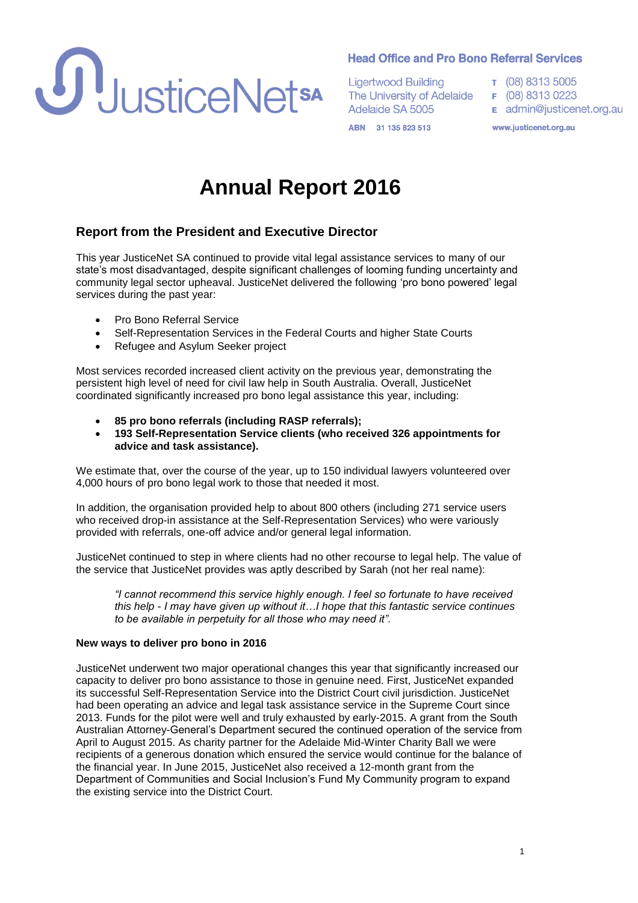

### **Head Office and Pro Bono Referral Services**

- 
- E admin@justicenet.org.au

ABN 31 135 823 513

www.justicenet.org.au

# **Annual Report 2016**

# **Report from the President and Executive Director**

This year JusticeNet SA continued to provide vital legal assistance services to many of our state's most disadvantaged, despite significant challenges of looming funding uncertainty and community legal sector upheaval. JusticeNet delivered the following 'pro bono powered' legal services during the past year:

- Pro Bono Referral Service
- Self-Representation Services in the Federal Courts and higher State Courts
- Refugee and Asylum Seeker project

Most services recorded increased client activity on the previous year, demonstrating the persistent high level of need for civil law help in South Australia. Overall, JusticeNet coordinated significantly increased pro bono legal assistance this year, including:

- **85 pro bono referrals (including RASP referrals);**
- **193 Self-Representation Service clients (who received 326 appointments for advice and task assistance).**

We estimate that, over the course of the year, up to 150 individual lawyers volunteered over 4,000 hours of pro bono legal work to those that needed it most.

In addition, the organisation provided help to about 800 others (including 271 service users who received drop-in assistance at the Self-Representation Services) who were variously provided with referrals, one-off advice and/or general legal information.

JusticeNet continued to step in where clients had no other recourse to legal help. The value of the service that JusticeNet provides was aptly described by Sarah (not her real name):

*"I cannot recommend this service highly enough. I feel so fortunate to have received this help - I may have given up without it…I hope that this fantastic service continues to be available in perpetuity for all those who may need it".*

#### **New ways to deliver pro bono in 2016**

JusticeNet underwent two major operational changes this year that significantly increased our capacity to deliver pro bono assistance to those in genuine need. First, JusticeNet expanded its successful Self-Representation Service into the District Court civil jurisdiction. JusticeNet had been operating an advice and legal task assistance service in the Supreme Court since 2013. Funds for the pilot were well and truly exhausted by early-2015. A grant from the South Australian Attorney-General's Department secured the continued operation of the service from April to August 2015. As charity partner for the Adelaide Mid-Winter Charity Ball we were recipients of a generous donation which ensured the service would continue for the balance of the financial year. In June 2015, JusticeNet also received a 12-month grant from the Department of Communities and Social Inclusion's Fund My Community program to expand the existing service into the District Court.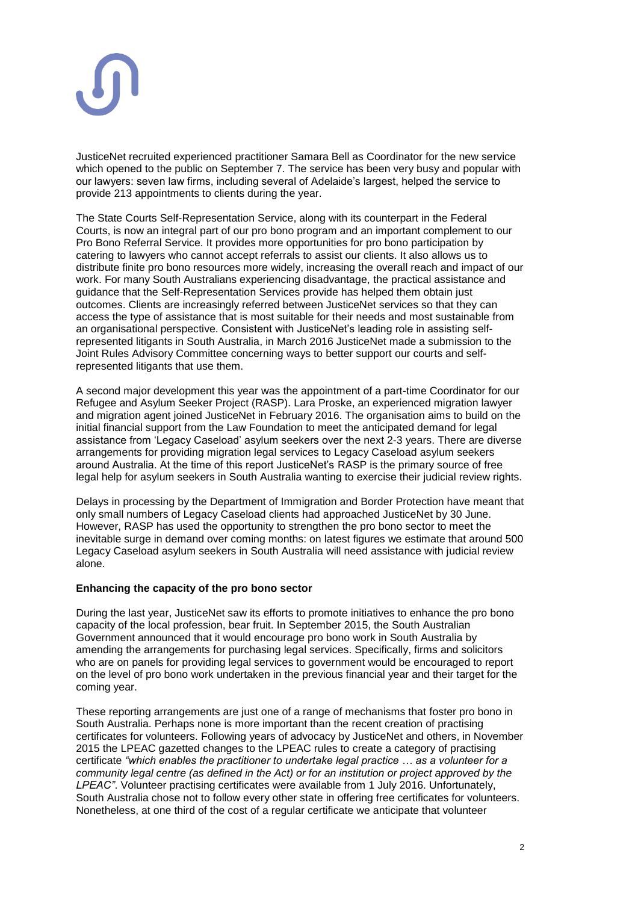JusticeNet recruited experienced practitioner Samara Bell as Coordinator for the new service which opened to the public on September 7. The service has been very busy and popular with our lawyers: seven law firms, including several of Adelaide's largest, helped the service to provide 213 appointments to clients during the year.

The State Courts Self-Representation Service, along with its counterpart in the Federal Courts, is now an integral part of our pro bono program and an important complement to our Pro Bono Referral Service. It provides more opportunities for pro bono participation by catering to lawyers who cannot accept referrals to assist our clients. It also allows us to distribute finite pro bono resources more widely, increasing the overall reach and impact of our work. For many South Australians experiencing disadvantage, the practical assistance and guidance that the Self-Representation Services provide has helped them obtain just outcomes. Clients are increasingly referred between JusticeNet services so that they can access the type of assistance that is most suitable for their needs and most sustainable from an organisational perspective. Consistent with JusticeNet's leading role in assisting selfrepresented litigants in South Australia, in March 2016 JusticeNet made a submission to the Joint Rules Advisory Committee concerning ways to better support our courts and selfrepresented litigants that use them.

A second major development this year was the appointment of a part-time Coordinator for our Refugee and Asylum Seeker Project (RASP). Lara Proske, an experienced migration lawyer and migration agent joined JusticeNet in February 2016. The organisation aims to build on the initial financial support from the Law Foundation to meet the anticipated demand for legal assistance from 'Legacy Caseload' asylum seekers over the next 2-3 years. There are diverse arrangements for providing migration legal services to Legacy Caseload asylum seekers around Australia. At the time of this report JusticeNet's RASP is the primary source of free legal help for asylum seekers in South Australia wanting to exercise their judicial review rights.

Delays in processing by the Department of Immigration and Border Protection have meant that only small numbers of Legacy Caseload clients had approached JusticeNet by 30 June. However, RASP has used the opportunity to strengthen the pro bono sector to meet the inevitable surge in demand over coming months: on latest figures we estimate that around 500 Legacy Caseload asylum seekers in South Australia will need assistance with judicial review alone.

### **Enhancing the capacity of the pro bono sector**

During the last year, JusticeNet saw its efforts to promote initiatives to enhance the pro bono capacity of the local profession, bear fruit. In September 2015, the South Australian Government announced that it would encourage pro bono work in South Australia by amending the arrangements for purchasing legal services. Specifically, firms and solicitors who are on panels for providing legal services to government would be encouraged to report on the level of pro bono work undertaken in the previous financial year and their target for the coming year.

These reporting arrangements are just one of a range of mechanisms that foster pro bono in South Australia. Perhaps none is more important than the recent creation of practising certificates for volunteers. Following years of advocacy by JusticeNet and others, in November 2015 the LPEAC gazetted changes to the LPEAC rules to create a category of practising certificate *"which enables the practitioner to undertake legal practice … as a volunteer for a community legal centre (as defined in the Act) or for an institution or project approved by the LPEAC"*. Volunteer practising certificates were available from 1 July 2016. Unfortunately, South Australia chose not to follow every other state in offering free certificates for volunteers. Nonetheless, at one third of the cost of a regular certificate we anticipate that volunteer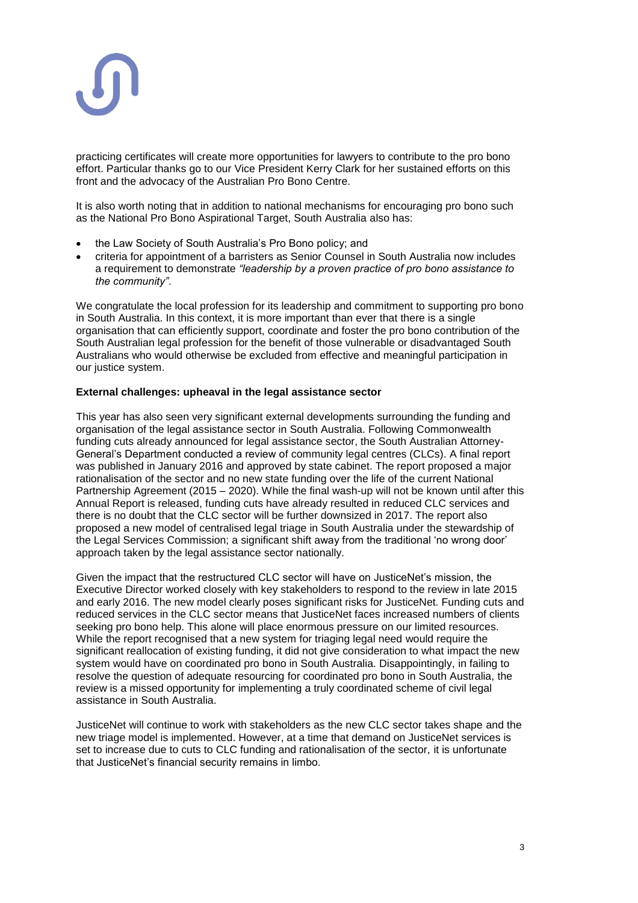

practicing certificates will create more opportunities for lawyers to contribute to the pro bono effort. Particular thanks go to our Vice President Kerry Clark for her sustained efforts on this front and the advocacy of the Australian Pro Bono Centre.

It is also worth noting that in addition to national mechanisms for encouraging pro bono such as the National Pro Bono Aspirational Target, South Australia also has:

- the Law Society of South Australia's Pro Bono policy; and
- criteria for appointment of a barristers as Senior Counsel in South Australia now includes a requirement to demonstrate *"leadership by a proven practice of pro bono assistance to the community"*.

We congratulate the local profession for its leadership and commitment to supporting pro bono in South Australia. In this context, it is more important than ever that there is a single organisation that can efficiently support, coordinate and foster the pro bono contribution of the South Australian legal profession for the benefit of those vulnerable or disadvantaged South Australians who would otherwise be excluded from effective and meaningful participation in our justice system.

### **External challenges: upheaval in the legal assistance sector**

This year has also seen very significant external developments surrounding the funding and organisation of the legal assistance sector in South Australia. Following Commonwealth funding cuts already announced for legal assistance sector, the South Australian Attorney-General's Department conducted a review of community legal centres (CLCs). A final report was published in January 2016 and approved by state cabinet. The report proposed a major rationalisation of the sector and no new state funding over the life of the current National Partnership Agreement (2015 – 2020). While the final wash-up will not be known until after this Annual Report is released, funding cuts have already resulted in reduced CLC services and there is no doubt that the CLC sector will be further downsized in 2017. The report also proposed a new model of centralised legal triage in South Australia under the stewardship of the Legal Services Commission; a significant shift away from the traditional 'no wrong door' approach taken by the legal assistance sector nationally.

Given the impact that the restructured CLC sector will have on JusticeNet's mission, the Executive Director worked closely with key stakeholders to respond to the review in late 2015 and early 2016. The new model clearly poses significant risks for JusticeNet. Funding cuts and reduced services in the CLC sector means that JusticeNet faces increased numbers of clients seeking pro bono help. This alone will place enormous pressure on our limited resources. While the report recognised that a new system for triaging legal need would require the significant reallocation of existing funding, it did not give consideration to what impact the new system would have on coordinated pro bono in South Australia. Disappointingly, in failing to resolve the question of adequate resourcing for coordinated pro bono in South Australia, the review is a missed opportunity for implementing a truly coordinated scheme of civil legal assistance in South Australia.

JusticeNet will continue to work with stakeholders as the new CLC sector takes shape and the new triage model is implemented. However, at a time that demand on JusticeNet services is set to increase due to cuts to CLC funding and rationalisation of the sector, it is unfortunate that JusticeNet's financial security remains in limbo.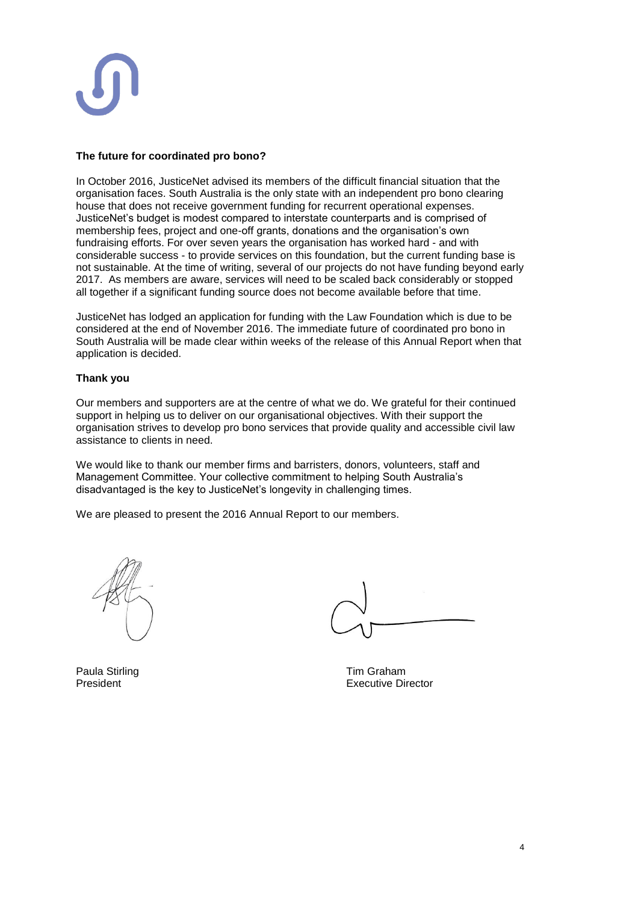#### **The future for coordinated pro bono?**

In October 2016, JusticeNet advised its members of the difficult financial situation that the organisation faces. South Australia is the only state with an independent pro bono clearing house that does not receive government funding for recurrent operational expenses. JusticeNet's budget is modest compared to interstate counterparts and is comprised of membership fees, project and one-off grants, donations and the organisation's own fundraising efforts. For over seven years the organisation has worked hard - and with considerable success - to provide services on this foundation, but the current funding base is not sustainable. At the time of writing, several of our projects do not have funding beyond early 2017. As members are aware, services will need to be scaled back considerably or stopped all together if a significant funding source does not become available before that time.

JusticeNet has lodged an application for funding with the Law Foundation which is due to be considered at the end of November 2016. The immediate future of coordinated pro bono in South Australia will be made clear within weeks of the release of this Annual Report when that application is decided.

#### **Thank you**

Our members and supporters are at the centre of what we do. We grateful for their continued support in helping us to deliver on our organisational objectives. With their support the organisation strives to develop pro bono services that provide quality and accessible civil law assistance to clients in need.

We would like to thank our member firms and barristers, donors, volunteers, staff and Management Committee. Your collective commitment to helping South Australia's disadvantaged is the key to JusticeNet's longevity in challenging times.

We are pleased to present the 2016 Annual Report to our members.

Paula Stirling Tim Graham

President **Executive Director Executive Director**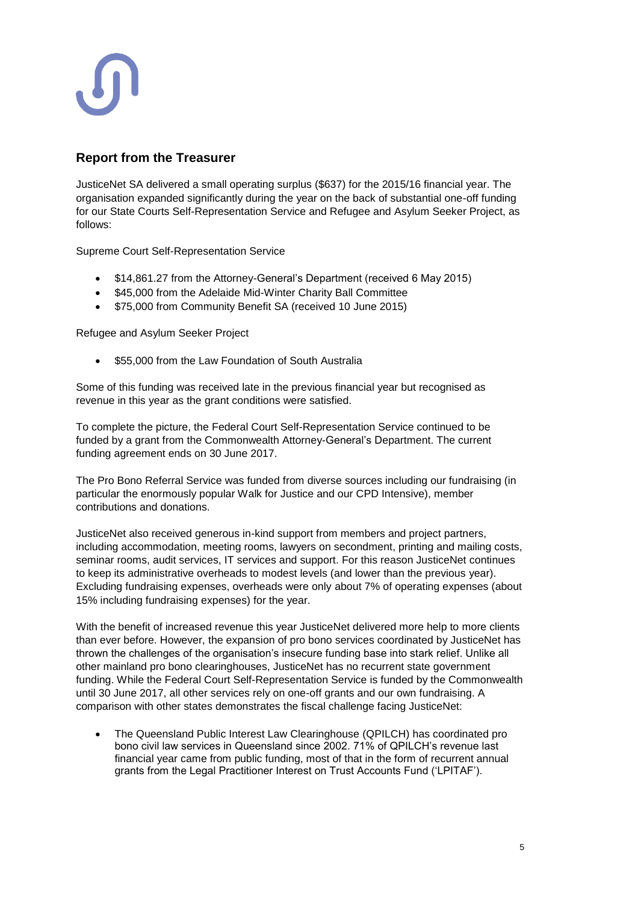# **Report from the Treasurer**

JusticeNet SA delivered a small operating surplus (\$637) for the 2015/16 financial year. The organisation expanded significantly during the year on the back of substantial one-off funding for our State Courts Self-Representation Service and Refugee and Asylum Seeker Project, as follows:

Supreme Court Self-Representation Service

- \$14,861.27 from the Attorney-General's Department (received 6 May 2015)
- \$45,000 from the Adelaide Mid-Winter Charity Ball Committee
- \$75,000 from Community Benefit SA (received 10 June 2015)

Refugee and Asylum Seeker Project

\$55,000 from the Law Foundation of South Australia

Some of this funding was received late in the previous financial year but recognised as revenue in this year as the grant conditions were satisfied.

To complete the picture, the Federal Court Self-Representation Service continued to be funded by a grant from the Commonwealth Attorney-General's Department. The current funding agreement ends on 30 June 2017.

The Pro Bono Referral Service was funded from diverse sources including our fundraising (in particular the enormously popular Walk for Justice and our CPD Intensive), member contributions and donations.

JusticeNet also received generous in-kind support from members and project partners, including accommodation, meeting rooms, lawyers on secondment, printing and mailing costs, seminar rooms, audit services, IT services and support. For this reason JusticeNet continues to keep its administrative overheads to modest levels (and lower than the previous year). Excluding fundraising expenses, overheads were only about 7% of operating expenses (about 15% including fundraising expenses) for the year.

With the benefit of increased revenue this year JusticeNet delivered more help to more clients than ever before. However, the expansion of pro bono services coordinated by JusticeNet has thrown the challenges of the organisation's insecure funding base into stark relief. Unlike all other mainland pro bono clearinghouses, JusticeNet has no recurrent state government funding. While the Federal Court Self-Representation Service is funded by the Commonwealth until 30 June 2017, all other services rely on one-off grants and our own fundraising. A comparison with other states demonstrates the fiscal challenge facing JusticeNet:

 The Queensland Public Interest Law Clearinghouse (QPILCH) has coordinated pro bono civil law services in Queensland since 2002. 71% of QPILCH's revenue last financial year came from public funding, most of that in the form of recurrent annual grants from the Legal Practitioner Interest on Trust Accounts Fund ('LPITAF').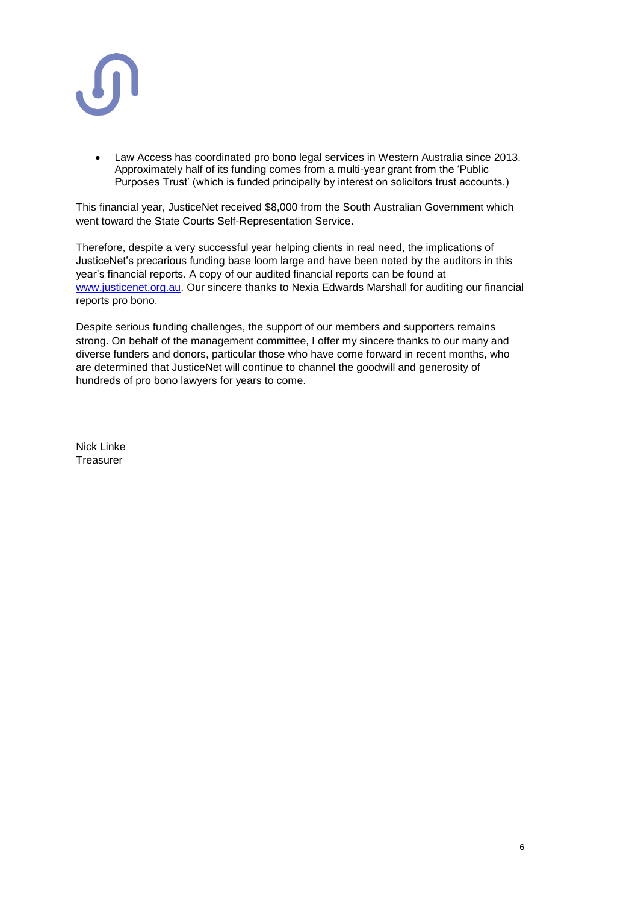

 Law Access has coordinated pro bono legal services in Western Australia since 2013. Approximately half of its funding comes from a multi-year grant from the 'Public Purposes Trust' (which is funded principally by interest on solicitors trust accounts.)

This financial year, JusticeNet received \$8,000 from the South Australian Government which went toward the State Courts Self-Representation Service.

Therefore, despite a very successful year helping clients in real need, the implications of JusticeNet's precarious funding base loom large and have been noted by the auditors in this year's financial reports. A copy of our audited financial reports can be found at [www.justicenet.org.au.](http://www.justicenet.org.au/) Our sincere thanks to Nexia Edwards Marshall for auditing our financial reports pro bono.

Despite serious funding challenges, the support of our members and supporters remains strong. On behalf of the management committee, I offer my sincere thanks to our many and diverse funders and donors, particular those who have come forward in recent months, who are determined that JusticeNet will continue to channel the goodwill and generosity of hundreds of pro bono lawyers for years to come.

Nick Linke **Treasurer**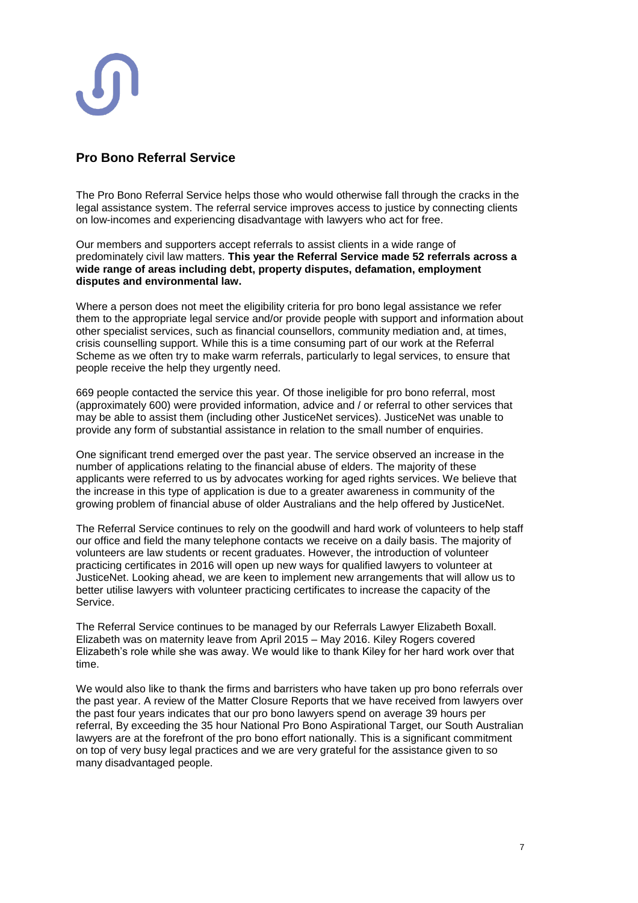# **Pro Bono Referral Service**

The Pro Bono Referral Service helps those who would otherwise fall through the cracks in the legal assistance system. The referral service improves access to justice by connecting clients on low-incomes and experiencing disadvantage with lawyers who act for free.

Our members and supporters accept referrals to assist clients in a wide range of predominately civil law matters. **This year the Referral Service made 52 referrals across a wide range of areas including debt, property disputes, defamation, employment disputes and environmental law.** 

Where a person does not meet the eligibility criteria for pro bono legal assistance we refer them to the appropriate legal service and/or provide people with support and information about other specialist services, such as financial counsellors, community mediation and, at times, crisis counselling support. While this is a time consuming part of our work at the Referral Scheme as we often try to make warm referrals, particularly to legal services, to ensure that people receive the help they urgently need.

669 people contacted the service this year. Of those ineligible for pro bono referral, most (approximately 600) were provided information, advice and / or referral to other services that may be able to assist them (including other JusticeNet services). JusticeNet was unable to provide any form of substantial assistance in relation to the small number of enquiries.

One significant trend emerged over the past year. The service observed an increase in the number of applications relating to the financial abuse of elders. The majority of these applicants were referred to us by advocates working for aged rights services. We believe that the increase in this type of application is due to a greater awareness in community of the growing problem of financial abuse of older Australians and the help offered by JusticeNet.

The Referral Service continues to rely on the goodwill and hard work of volunteers to help staff our office and field the many telephone contacts we receive on a daily basis. The majority of volunteers are law students or recent graduates. However, the introduction of volunteer practicing certificates in 2016 will open up new ways for qualified lawyers to volunteer at JusticeNet. Looking ahead, we are keen to implement new arrangements that will allow us to better utilise lawyers with volunteer practicing certificates to increase the capacity of the Service.

The Referral Service continues to be managed by our Referrals Lawyer Elizabeth Boxall. Elizabeth was on maternity leave from April 2015 – May 2016. Kiley Rogers covered Elizabeth's role while she was away. We would like to thank Kiley for her hard work over that time.

We would also like to thank the firms and barristers who have taken up pro bono referrals over the past year. A review of the Matter Closure Reports that we have received from lawyers over the past four years indicates that our pro bono lawyers spend on average 39 hours per referral, By exceeding the 35 hour National Pro Bono Aspirational Target, our South Australian lawyers are at the forefront of the pro bono effort nationally. This is a significant commitment on top of very busy legal practices and we are very grateful for the assistance given to so many disadvantaged people.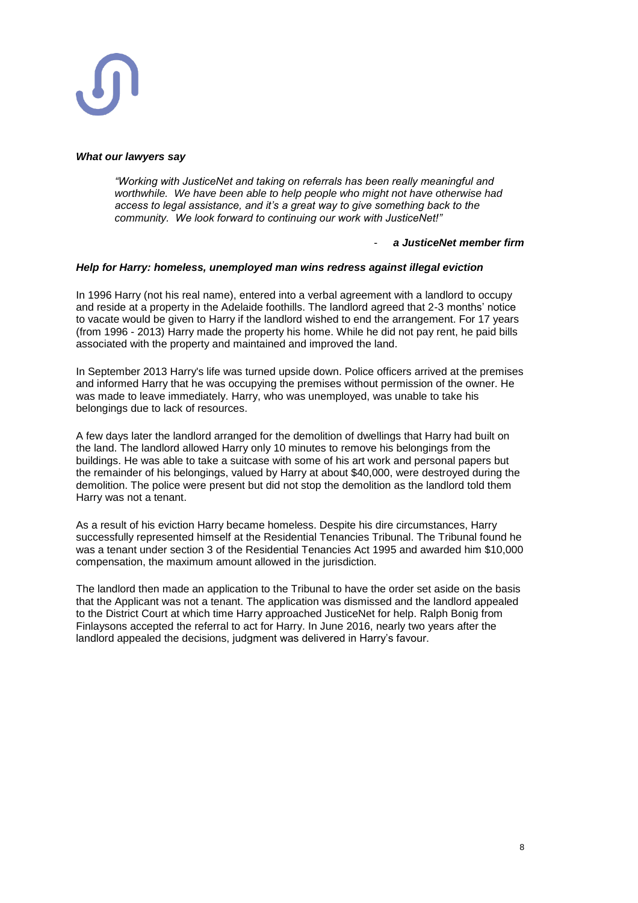

#### *What our lawyers say*

*"Working with JusticeNet and taking on referrals has been really meaningful and worthwhile. We have been able to help people who might not have otherwise had access to legal assistance, and it's a great way to give something back to the community. We look forward to continuing our work with JusticeNet!"*

#### - *a JusticeNet member firm*

#### *Help for Harry: homeless, unemployed man wins redress against illegal eviction*

In 1996 Harry (not his real name), entered into a verbal agreement with a landlord to occupy and reside at a property in the Adelaide foothills. The landlord agreed that 2-3 months' notice to vacate would be given to Harry if the landlord wished to end the arrangement. For 17 years (from 1996 - 2013) Harry made the property his home. While he did not pay rent, he paid bills associated with the property and maintained and improved the land.

In September 2013 Harry's life was turned upside down. Police officers arrived at the premises and informed Harry that he was occupying the premises without permission of the owner. He was made to leave immediately. Harry, who was unemployed, was unable to take his belongings due to lack of resources.

A few days later the landlord arranged for the demolition of dwellings that Harry had built on the land. The landlord allowed Harry only 10 minutes to remove his belongings from the buildings. He was able to take a suitcase with some of his art work and personal papers but the remainder of his belongings, valued by Harry at about \$40,000, were destroyed during the demolition. The police were present but did not stop the demolition as the landlord told them Harry was not a tenant.

As a result of his eviction Harry became homeless. Despite his dire circumstances, Harry successfully represented himself at the Residential Tenancies Tribunal. The Tribunal found he was a tenant under section 3 of the Residential Tenancies Act 1995 and awarded him \$10,000 compensation, the maximum amount allowed in the jurisdiction.

The landlord then made an application to the Tribunal to have the order set aside on the basis that the Applicant was not a tenant. The application was dismissed and the landlord appealed to the District Court at which time Harry approached JusticeNet for help. Ralph Bonig from Finlaysons accepted the referral to act for Harry. In June 2016, nearly two years after the landlord appealed the decisions, judgment was delivered in Harry's favour.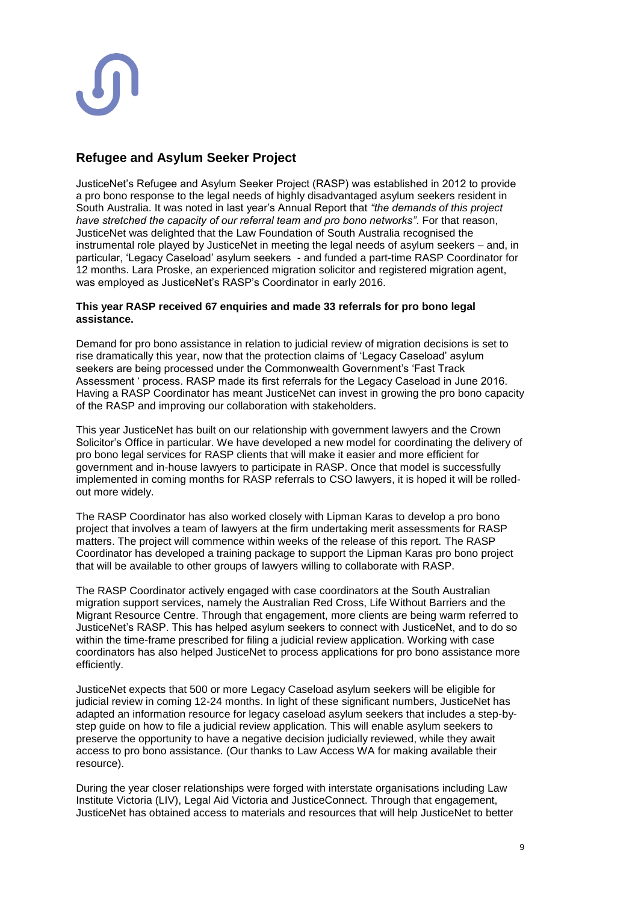# **Refugee and Asylum Seeker Project**

JusticeNet's Refugee and Asylum Seeker Project (RASP) was established in 2012 to provide a pro bono response to the legal needs of highly disadvantaged asylum seekers resident in South Australia. It was noted in last year's Annual Report that *"the demands of this project have stretched the capacity of our referral team and pro bono networks"*. For that reason, JusticeNet was delighted that the Law Foundation of South Australia recognised the instrumental role played by JusticeNet in meeting the legal needs of asylum seekers – and, in particular, 'Legacy Caseload' asylum seekers - and funded a part-time RASP Coordinator for 12 months. Lara Proske, an experienced migration solicitor and registered migration agent, was employed as JusticeNet's RASP's Coordinator in early 2016.

### **This year RASP received 67 enquiries and made 33 referrals for pro bono legal assistance.**

Demand for pro bono assistance in relation to judicial review of migration decisions is set to rise dramatically this year, now that the protection claims of 'Legacy Caseload' asylum seekers are being processed under the Commonwealth Government's 'Fast Track Assessment ' process. RASP made its first referrals for the Legacy Caseload in June 2016. Having a RASP Coordinator has meant JusticeNet can invest in growing the pro bono capacity of the RASP and improving our collaboration with stakeholders.

This year JusticeNet has built on our relationship with government lawyers and the Crown Solicitor's Office in particular. We have developed a new model for coordinating the delivery of pro bono legal services for RASP clients that will make it easier and more efficient for government and in-house lawyers to participate in RASP. Once that model is successfully implemented in coming months for RASP referrals to CSO lawyers, it is hoped it will be rolledout more widely.

The RASP Coordinator has also worked closely with Lipman Karas to develop a pro bono project that involves a team of lawyers at the firm undertaking merit assessments for RASP matters. The project will commence within weeks of the release of this report. The RASP Coordinator has developed a training package to support the Lipman Karas pro bono project that will be available to other groups of lawyers willing to collaborate with RASP.

The RASP Coordinator actively engaged with case coordinators at the South Australian migration support services, namely the Australian Red Cross, Life Without Barriers and the Migrant Resource Centre. Through that engagement, more clients are being warm referred to JusticeNet's RASP. This has helped asylum seekers to connect with JusticeNet, and to do so within the time-frame prescribed for filing a judicial review application. Working with case coordinators has also helped JusticeNet to process applications for pro bono assistance more efficiently.

JusticeNet expects that 500 or more Legacy Caseload asylum seekers will be eligible for judicial review in coming 12-24 months. In light of these significant numbers, JusticeNet has adapted an information resource for legacy caseload asylum seekers that includes a step-bystep guide on how to file a judicial review application. This will enable asylum seekers to preserve the opportunity to have a negative decision judicially reviewed, while they await access to pro bono assistance. (Our thanks to Law Access WA for making available their resource).

During the year closer relationships were forged with interstate organisations including Law Institute Victoria (LIV), Legal Aid Victoria and JusticeConnect. Through that engagement, JusticeNet has obtained access to materials and resources that will help JusticeNet to better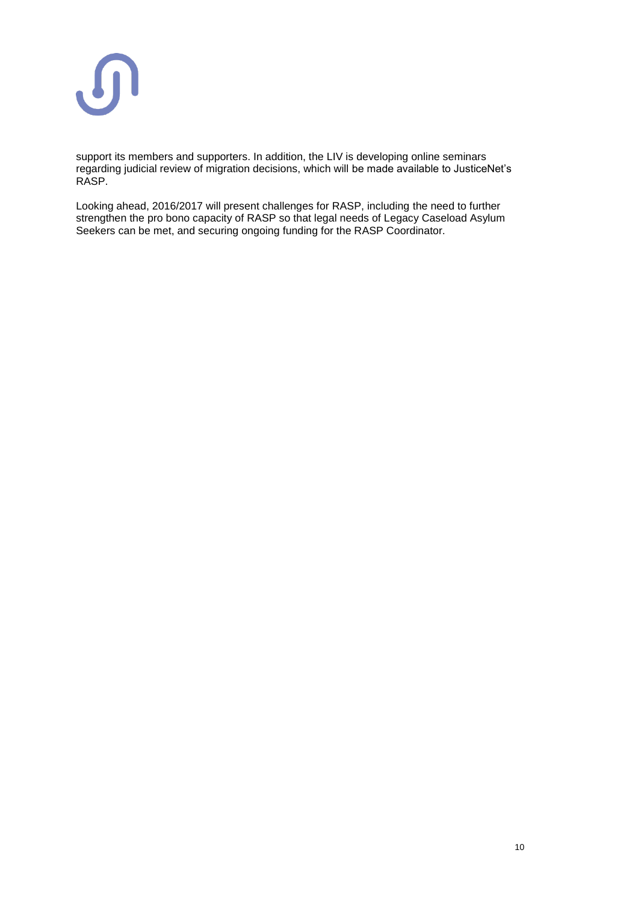

support its members and supporters. In addition, the LIV is developing online seminars regarding judicial review of migration decisions, which will be made available to JusticeNet's RASP.

Looking ahead, 2016/2017 will present challenges for RASP, including the need to further strengthen the pro bono capacity of RASP so that legal needs of Legacy Caseload Asylum Seekers can be met, and securing ongoing funding for the RASP Coordinator.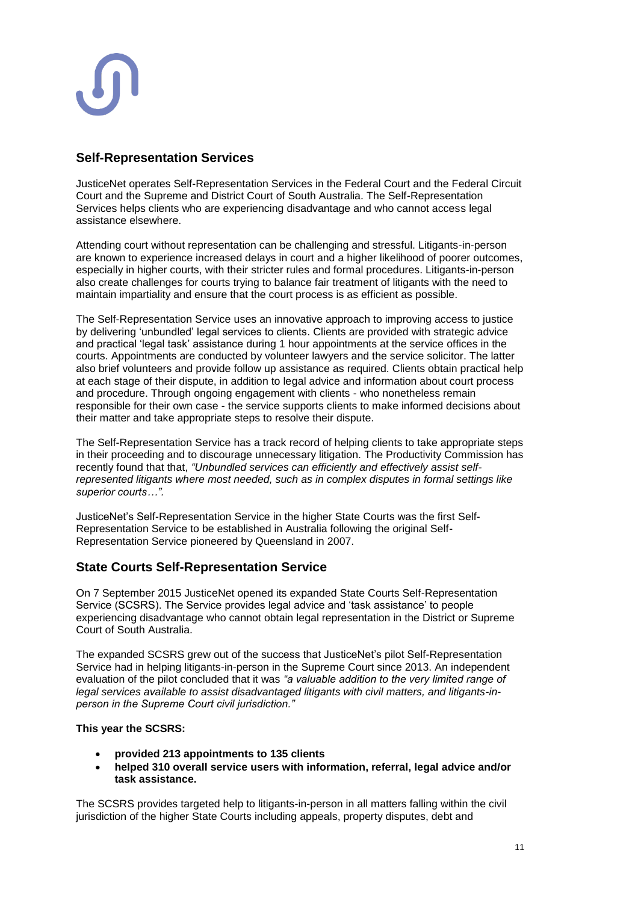# **Self-Representation Services**

JusticeNet operates Self-Representation Services in the Federal Court and the Federal Circuit Court and the Supreme and District Court of South Australia. The Self-Representation Services helps clients who are experiencing disadvantage and who cannot access legal assistance elsewhere.

Attending court without representation can be challenging and stressful. Litigants-in-person are known to experience increased delays in court and a higher likelihood of poorer outcomes, especially in higher courts, with their stricter rules and formal procedures. Litigants-in-person also create challenges for courts trying to balance fair treatment of litigants with the need to maintain impartiality and ensure that the court process is as efficient as possible.

The Self-Representation Service uses an innovative approach to improving access to justice by delivering 'unbundled' legal services to clients. Clients are provided with strategic advice and practical 'legal task' assistance during 1 hour appointments at the service offices in the courts. Appointments are conducted by volunteer lawyers and the service solicitor. The latter also brief volunteers and provide follow up assistance as required. Clients obtain practical help at each stage of their dispute, in addition to legal advice and information about court process and procedure. Through ongoing engagement with clients - who nonetheless remain responsible for their own case - the service supports clients to make informed decisions about their matter and take appropriate steps to resolve their dispute.

The Self-Representation Service has a track record of helping clients to take appropriate steps in their proceeding and to discourage unnecessary litigation. The Productivity Commission has recently found that that, *"Unbundled services can efficiently and effectively assist selfrepresented litigants where most needed, such as in complex disputes in formal settings like superior courts…".*

JusticeNet's Self-Representation Service in the higher State Courts was the first Self-Representation Service to be established in Australia following the original Self-Representation Service pioneered by Queensland in 2007.

# **State Courts Self-Representation Service**

On 7 September 2015 JusticeNet opened its expanded State Courts Self-Representation Service (SCSRS). The Service provides legal advice and 'task assistance' to people experiencing disadvantage who cannot obtain legal representation in the District or Supreme Court of South Australia.

The expanded SCSRS grew out of the success that JusticeNet's pilot Self-Representation Service had in helping litigants-in-person in the Supreme Court since 2013. An independent evaluation of the pilot concluded that it was *"a valuable addition to the very limited range of legal services available to assist disadvantaged litigants with civil matters, and litigants-inperson in the Supreme Court civil jurisdiction."*

## **This year the SCSRS:**

- **provided 213 appointments to 135 clients**
- **helped 310 overall service users with information, referral, legal advice and/or task assistance.**

The SCSRS provides targeted help to litigants-in-person in all matters falling within the civil jurisdiction of the higher State Courts including appeals, property disputes, debt and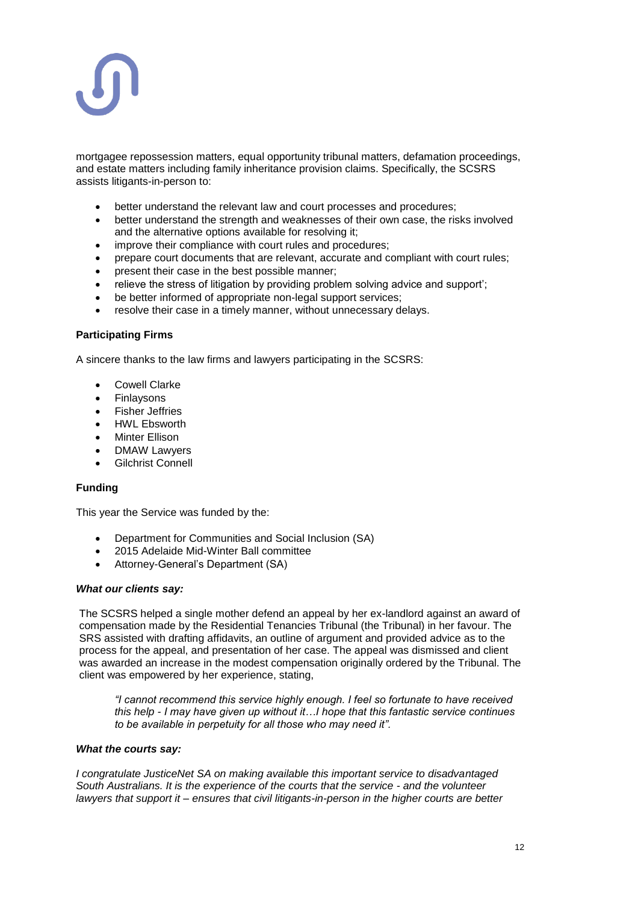

mortgagee repossession matters, equal opportunity tribunal matters, defamation proceedings, and estate matters including family inheritance provision claims. Specifically, the SCSRS assists litigants-in-person to:

- better understand the relevant law and court processes and procedures;
- better understand the strength and weaknesses of their own case, the risks involved and the alternative options available for resolving it;
- improve their compliance with court rules and procedures;
- prepare court documents that are relevant, accurate and compliant with court rules;
- present their case in the best possible manner;
- relieve the stress of litigation by providing problem solving advice and support';
- be better informed of appropriate non-legal support services;
- resolve their case in a timely manner, without unnecessary delays.

#### **Participating Firms**

A sincere thanks to the law firms and lawyers participating in the SCSRS:

- Cowell Clarke
- Finlaysons
- **•** Fisher Jeffries
- HWL Ebsworth
- Minter Ellison
- DMAW Lawyers
- Gilchrist Connell

#### **Funding**

This year the Service was funded by the:

- Department for Communities and Social Inclusion (SA)
- 2015 Adelaide Mid-Winter Ball committee
- Attorney-General's Department (SA)

#### *What our clients say:*

The SCSRS helped a single mother defend an appeal by her ex-landlord against an award of compensation made by the Residential Tenancies Tribunal (the Tribunal) in her favour. The SRS assisted with drafting affidavits, an outline of argument and provided advice as to the process for the appeal, and presentation of her case. The appeal was dismissed and client was awarded an increase in the modest compensation originally ordered by the Tribunal. The client was empowered by her experience, stating,

*"I cannot recommend this service highly enough. I feel so fortunate to have received this help - I may have given up without it…I hope that this fantastic service continues to be available in perpetuity for all those who may need it".*

#### *What the courts say:*

*I congratulate JusticeNet SA on making available this important service to disadvantaged South Australians. It is the experience of the courts that the service - and the volunteer lawyers that support it – ensures that civil litigants-in-person in the higher courts are better*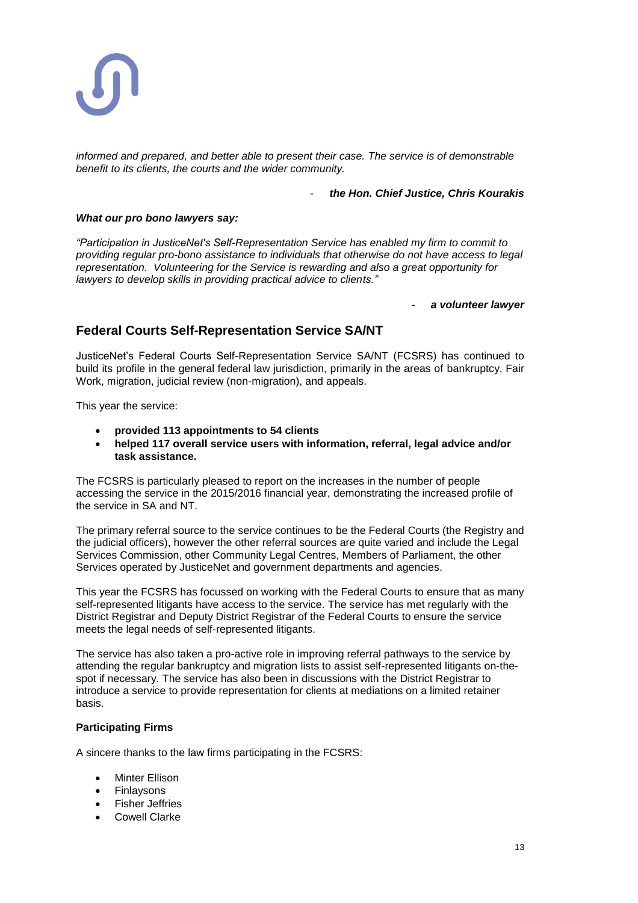

*informed and prepared, and better able to present their case. The service is of demonstrable benefit to its clients, the courts and the wider community.* 

#### - *the Hon. Chief Justice, Chris Kourakis*

#### *What our pro bono lawyers say:*

*"Participation in JusticeNet's Self-Representation Service has enabled my firm to commit to providing regular pro-bono assistance to individuals that otherwise do not have access to legal representation. Volunteering for the Service is rewarding and also a great opportunity for lawyers to develop skills in providing practical advice to clients."*

#### - *a volunteer lawyer*

# **Federal Courts Self-Representation Service SA/NT**

JusticeNet's Federal Courts Self-Representation Service SA/NT (FCSRS) has continued to build its profile in the general federal law jurisdiction, primarily in the areas of bankruptcy, Fair Work, migration, judicial review (non-migration), and appeals.

This year the service:

- **provided 113 appointments to 54 clients**
- **helped 117 overall service users with information, referral, legal advice and/or task assistance.**

The FCSRS is particularly pleased to report on the increases in the number of people accessing the service in the 2015/2016 financial year, demonstrating the increased profile of the service in SA and NT.

The primary referral source to the service continues to be the Federal Courts (the Registry and the judicial officers), however the other referral sources are quite varied and include the Legal Services Commission, other Community Legal Centres, Members of Parliament, the other Services operated by JusticeNet and government departments and agencies.

This year the FCSRS has focussed on working with the Federal Courts to ensure that as many self-represented litigants have access to the service. The service has met regularly with the District Registrar and Deputy District Registrar of the Federal Courts to ensure the service meets the legal needs of self-represented litigants.

The service has also taken a pro-active role in improving referral pathways to the service by attending the regular bankruptcy and migration lists to assist self-represented litigants on-thespot if necessary. The service has also been in discussions with the District Registrar to introduce a service to provide representation for clients at mediations on a limited retainer basis.

### **Participating Firms**

A sincere thanks to the law firms participating in the FCSRS:

- Minter Ellison
- Finlaysons
- Fisher Jeffries
- Cowell Clarke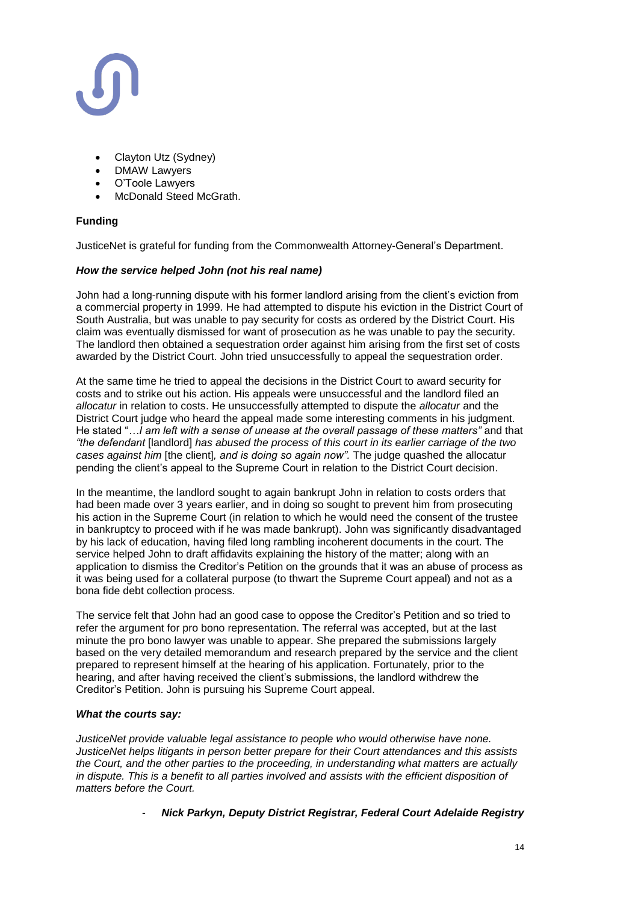

- Clayton Utz (Sydney)
- DMAW Lawyers
- O'Toole Lawyers
- McDonald Steed McGrath.

### **Funding**

JusticeNet is grateful for funding from the Commonwealth Attorney-General's Department.

### *How the service helped John (not his real name)*

John had a long-running dispute with his former landlord arising from the client's eviction from a commercial property in 1999. He had attempted to dispute his eviction in the District Court of South Australia, but was unable to pay security for costs as ordered by the District Court. His claim was eventually dismissed for want of prosecution as he was unable to pay the security. The landlord then obtained a sequestration order against him arising from the first set of costs awarded by the District Court. John tried unsuccessfully to appeal the sequestration order.

At the same time he tried to appeal the decisions in the District Court to award security for costs and to strike out his action. His appeals were unsuccessful and the landlord filed an *allocatur* in relation to costs. He unsuccessfully attempted to dispute the *allocatur* and the District Court judge who heard the appeal made some interesting comments in his judgment. He stated "*…I am left with a sense of unease at the overall passage of these matters"* and that *"the defendant* [landlord] *has abused the process of this court in its earlier carriage of the two cases against him* [the client]*, and is doing so again now".* The judge quashed the allocatur pending the client's appeal to the Supreme Court in relation to the District Court decision.

In the meantime, the landlord sought to again bankrupt John in relation to costs orders that had been made over 3 years earlier, and in doing so sought to prevent him from prosecuting his action in the Supreme Court (in relation to which he would need the consent of the trustee in bankruptcy to proceed with if he was made bankrupt). John was significantly disadvantaged by his lack of education, having filed long rambling incoherent documents in the court. The service helped John to draft affidavits explaining the history of the matter; along with an application to dismiss the Creditor's Petition on the grounds that it was an abuse of process as it was being used for a collateral purpose (to thwart the Supreme Court appeal) and not as a bona fide debt collection process.

The service felt that John had an good case to oppose the Creditor's Petition and so tried to refer the argument for pro bono representation. The referral was accepted, but at the last minute the pro bono lawyer was unable to appear. She prepared the submissions largely based on the very detailed memorandum and research prepared by the service and the client prepared to represent himself at the hearing of his application. Fortunately, prior to the hearing, and after having received the client's submissions, the landlord withdrew the Creditor's Petition. John is pursuing his Supreme Court appeal.

### *What the courts say:*

*JusticeNet provide valuable legal assistance to people who would otherwise have none. JusticeNet helps litigants in person better prepare for their Court attendances and this assists the Court, and the other parties to the proceeding, in understanding what matters are actually in dispute. This is a benefit to all parties involved and assists with the efficient disposition of matters before the Court.* 

- *Nick Parkyn, Deputy District Registrar, Federal Court Adelaide Registry*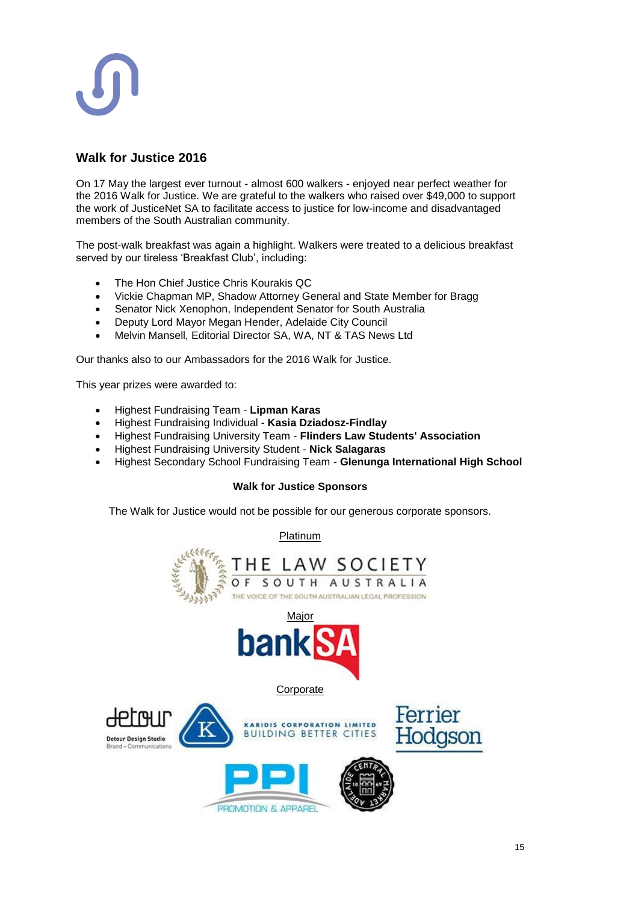# **Walk for Justice 2016**

On 17 May the largest ever turnout - almost 600 walkers - enjoyed near perfect weather for the 2016 Walk for Justice. We are grateful to the walkers who raised over \$49,000 to support the work of JusticeNet SA to facilitate access to justice for low-income and disadvantaged members of the South Australian community.

The post-walk breakfast was again a highlight. Walkers were treated to a delicious breakfast served by our tireless 'Breakfast Club', including:

- The Hon Chief Justice Chris Kourakis QC
- Vickie Chapman MP, Shadow Attorney General and State Member for Bragg
- Senator Nick Xenophon, Independent Senator for South Australia
- Deputy Lord Mayor Megan Hender, Adelaide City Council
- Melvin Mansell, Editorial Director SA, WA, NT & TAS News Ltd

Our thanks also to our Ambassadors for the 2016 Walk for Justice.

This year prizes were awarded to:

- Highest Fundraising Team **Lipman Karas**
- Highest Fundraising Individual **Kasia Dziadosz-Findlay**
- Highest Fundraising University Team **Flinders Law Students' Association**
- Highest Fundraising University Student **Nick Salagaras**
- Highest Secondary School Fundraising Team **Glenunga International High School**

#### **Walk for Justice Sponsors**

The Walk for Justice would not be possible for our generous corporate sponsors.

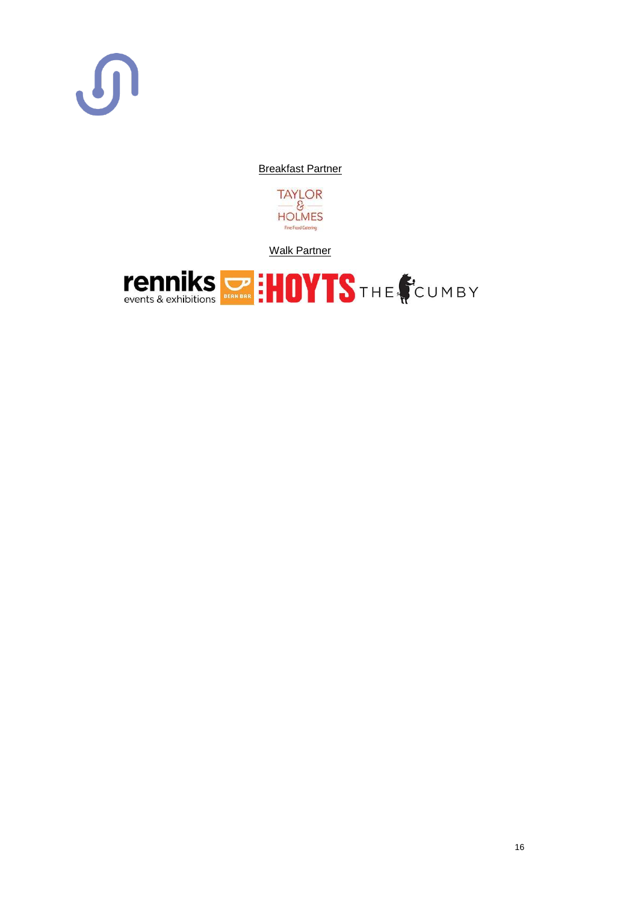

Breakfast Partner



Walk Partner

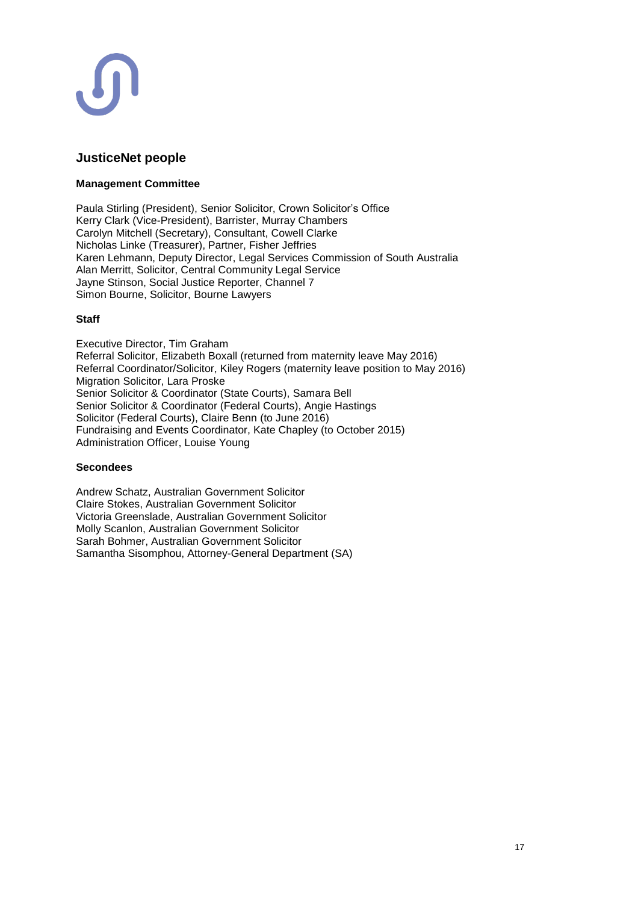# **JusticeNet people**

### **Management Committee**

Paula Stirling (President), Senior Solicitor, Crown Solicitor's Office Kerry Clark (Vice-President), Barrister, Murray Chambers Carolyn Mitchell (Secretary), Consultant, Cowell Clarke Nicholas Linke (Treasurer), Partner, Fisher Jeffries Karen Lehmann, Deputy Director, Legal Services Commission of South Australia Alan Merritt, Solicitor, Central Community Legal Service Jayne Stinson, Social Justice Reporter, Channel 7 Simon Bourne, Solicitor, Bourne Lawyers

## **Staff**

Executive Director, Tim Graham Referral Solicitor, Elizabeth Boxall (returned from maternity leave May 2016) Referral Coordinator/Solicitor, Kiley Rogers (maternity leave position to May 2016) Migration Solicitor, Lara Proske Senior Solicitor & Coordinator (State Courts), Samara Bell Senior Solicitor & Coordinator (Federal Courts), Angie Hastings Solicitor (Federal Courts), Claire Benn (to June 2016) Fundraising and Events Coordinator, Kate Chapley (to October 2015) Administration Officer, Louise Young

### **Secondees**

Andrew Schatz, Australian Government Solicitor Claire Stokes, Australian Government Solicitor Victoria Greenslade, Australian Government Solicitor Molly Scanlon, Australian Government Solicitor Sarah Bohmer, Australian Government Solicitor Samantha Sisomphou, Attorney-General Department (SA)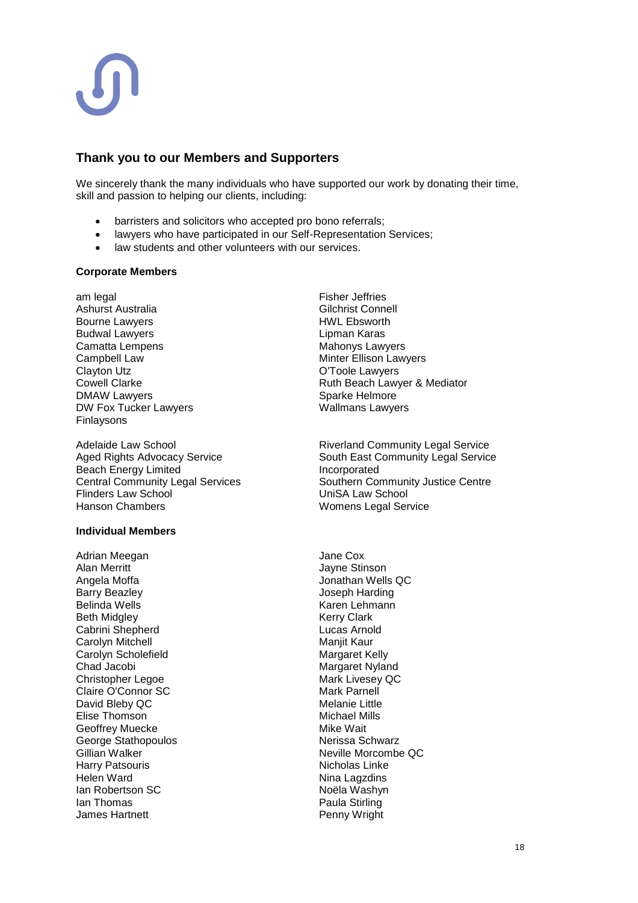

# **Thank you to our Members and Supporters**

We sincerely thank the many individuals who have supported our work by donating their time, skill and passion to helping our clients, including:

- barristers and solicitors who accepted pro bono referrals;
- lawyers who have participated in our Self-Representation Services;
- law students and other volunteers with our services.

#### **Corporate Members**

am legal Ashurst Australia Bourne Lawyers Budwal Lawyers Camatta Lempens Campbell Law Clayton Utz Cowell Clarke DMAW Lawyers DW Fox Tucker Lawyers Finlaysons

Adelaide Law School Aged Rights Advocacy Service Beach Energy Limited Central Community Legal Services Flinders Law School Hanson Chambers

### **Individual Members**

Adrian Meegan Alan Merritt Angela Moffa Barry Beazley Belinda Wells Beth Midgley Cabrini Shepherd Carolyn Mitchell Carolyn Scholefield Chad Jacobi Christopher Legoe Claire O'Connor SC David Bleby QC Elise Thomson Geoffrey Muecke George Stathopoulos Gillian Walker Harry Patsouris Helen Ward Ian Robertson SC Ian Thomas James Hartnett

Fisher Jeffries Gilchrist Connell HWL Ebsworth Lipman Karas Mahonys Lawyers Minter Ellison Lawyers O'Toole Lawyers Ruth Beach Lawyer & Mediator Sparke Helmore Wallmans Lawyers

Riverland Community Legal Service South East Community Legal Service Incorporated Southern Community Justice Centre UniSA Law School Womens Legal Service

Jane Cox Jayne Stinson Jonathan Wells QC Joseph Harding Karen Lehmann Kerry Clark Lucas Arnold Maniit Kaur Margaret Kelly Margaret Nyland Mark Livesey QC Mark Parnell Melanie Little Michael Mills Mike Wait Nerissa Schwarz Neville Morcombe QC Nicholas Linke Nina Lagzdins Noëla Washyn Paula Stirling Penny Wright